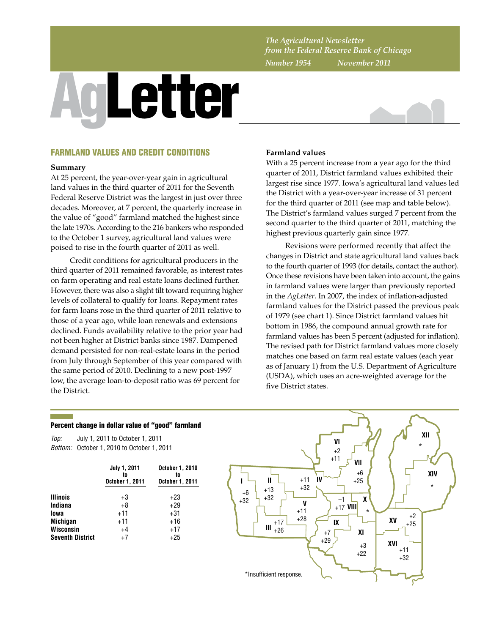*The Agricultural Newsletter from the Federal Reserve Bank of Chicago Number 1954 November 2011*

# AgLetter



# FARMLAND VALUES AND CREDIT CONDITIONS

### **Summary**

At 25 percent, the year-over-year gain in agricultural land values in the third quarter of 2011 for the Seventh Federal Reserve District was the largest in just over three decades. Moreover, at 7 percent, the quarterly increase in the value of "good" farmland matched the highest since the late 1970s. According to the 216 bankers who responded to the October 1 survey, agricultural land values were poised to rise in the fourth quarter of 2011 as well.

Credit conditions for agricultural producers in the third quarter of 2011 remained favorable, as interest rates on farm operating and real estate loans declined further. However, there was also a slight tilt toward requiring higher levels of collateral to qualify for loans. Repayment rates for farm loans rose in the third quarter of 2011 relative to those of a year ago, while loan renewals and extensions declined. Funds availability relative to the prior year had not been higher at District banks since 1987. Dampened demand persisted for non-real-estate loans in the period from July through September of this year compared with the same period of 2010. Declining to a new post-1997 low, the average loan-to-deposit ratio was 69 percent for the District.

# **Farmland values**

With a 25 percent increase from a year ago for the third quarter of 2011, District farmland values exhibited their largest rise since 1977. Iowa's agricultural land values led the District with a year-over-year increase of 31 percent for the third quarter of 2011 (see map and table below). The District's farmland values surged 7 percent from the second quarter to the third quarter of 2011, matching the highest previous quarterly gain since 1977.

Revisions were performed recently that affect the changes in District and state agricultural land values back to the fourth quarter of 1993 (for details, contact the author). Once these revisions have been taken into account, the gains in farmland values were larger than previously reported in the *AgLetter*. In 2007, the index of inflation-adjusted farmland values for the District passed the previous peak of 1979 (see chart 1). Since District farmland values hit bottom in 1986, the compound annual growth rate for farmland values has been 5 percent (adjusted for inflation). The revised path for District farmland values more closely matches one based on farm real estate values (each year as of January 1) from the U.S. Department of Agriculture (USDA), which uses an acre-weighted average for the five District states.

# Percent change in dollar value of "good" farmland

*Top: Bottom:* October 1, 2010 to October 1, 2011 July 1, 2011 to October 1, 2011

|                         | <b>July 1, 2011</b><br>to<br>October 1, 2011 | <b>October 1, 2010</b><br>tn<br><b>October 1, 2011</b> |  |  |
|-------------------------|----------------------------------------------|--------------------------------------------------------|--|--|
| <b>Illinois</b>         | +3                                           | $+23$                                                  |  |  |
| Indiana                 | $+8$                                         | $+29$                                                  |  |  |
| lowa                    | $+11$                                        | $+31$                                                  |  |  |
| <b>Michigan</b>         | $+11$                                        | $+16$                                                  |  |  |
| Wisconsin               | $+4$                                         | $+17$                                                  |  |  |
| <b>Seventh District</b> | $+7$                                         | $+25$                                                  |  |  |

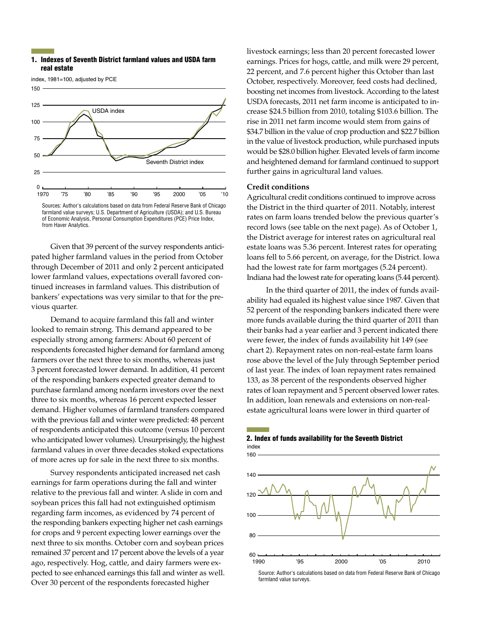### 1. Indexes of Seventh District farmland values and USDA farm real estate

index, 1981=100, adjusted by PCE



of Economic Analysis, Personal Consumption Expenditures (PCE) Price Index, from Haver Analytics.

Given that 39 percent of the survey respondents anticipated higher farmland values in the period from October through December of 2011 and only 2 percent anticipated lower farmland values, expectations overall favored continued increases in farmland values. This distribution of bankers' expectations was very similar to that for the previous quarter.

Demand to acquire farmland this fall and winter looked to remain strong. This demand appeared to be especially strong among farmers: About 60 percent of respondents forecasted higher demand for farmland among farmers over the next three to six months, whereas just 3 percent forecasted lower demand. In addition, 41 percent of the responding bankers expected greater demand to purchase farmland among nonfarm investors over the next three to six months, whereas 16 percent expected lesser demand. Higher volumes of farmland transfers compared with the previous fall and winter were predicted: 48 percent of respondents anticipated this outcome (versus 10 percent who anticipated lower volumes). Unsurprisingly, the highest farmland values in over three decades stoked expectations of more acres up for sale in the next three to six months.

Survey respondents anticipated increased net cash earnings for farm operations during the fall and winter relative to the previous fall and winter. A slide in corn and soybean prices this fall had not extinguished optimism regarding farm incomes, as evidenced by 74 percent of the responding bankers expecting higher net cash earnings for crops and 9 percent expecting lower earnings over the next three to six months. October corn and soybean prices remained 37 percent and 17 percent above the levels of a year ago, respectively. Hog, cattle, and dairy farmers were expected to see enhanced earnings this fall and winter as well. Over 30 percent of the respondents forecasted higher

livestock earnings; less than 20 percent forecasted lower earnings. Prices for hogs, cattle, and milk were 29 percent, 22 percent, and 7.6 percent higher this October than last October, respectively. Moreover, feed costs had declined, boosting net incomes from livestock. According to the latest USDA forecasts, 2011 net farm income is anticipated to increase \$24.5 billion from 2010, totaling \$103.6 billion. The rise in 2011 net farm income would stem from gains of \$34.7 billion in the value of crop production and \$22.7 billion in the value of livestock production, while purchased inputs would be \$28.0 billion higher. Elevated levels of farm income and heightened demand for farmland continued to support further gains in agricultural land values.

### **Credit conditions**

Agricultural credit conditions continued to improve across the District in the third quarter of 2011. Notably, interest rates on farm loans trended below the previous quarter's record lows (see table on the next page). As of October 1, the District average for interest rates on agricultural real estate loans was 5.36 percent. Interest rates for operating loans fell to 5.66 percent, on average, for the District. Iowa had the lowest rate for farm mortgages (5.24 percent). Indiana had the lowest rate for operating loans (5.44 percent).

In the third quarter of 2011, the index of funds availability had equaled its highest value since 1987. Given that 52 percent of the responding bankers indicated there were more funds available during the third quarter of 2011 than their banks had a year earlier and 3 percent indicated there were fewer, the index of funds availability hit 149 (see chart 2). Repayment rates on non-real-estate farm loans rose above the level of the July through September period of last year. The index of loan repayment rates remained 133, as 38 percent of the respondents observed higher rates of loan repayment and 5 percent observed lower rates. In addition, loan renewals and extensions on non-realestate agricultural loans were lower in third quarter of

### 2. Index of funds availability for the Seventh District index



Source: Author's calculations based on data from Federal Reserve Bank of Chicago farmland value surveys.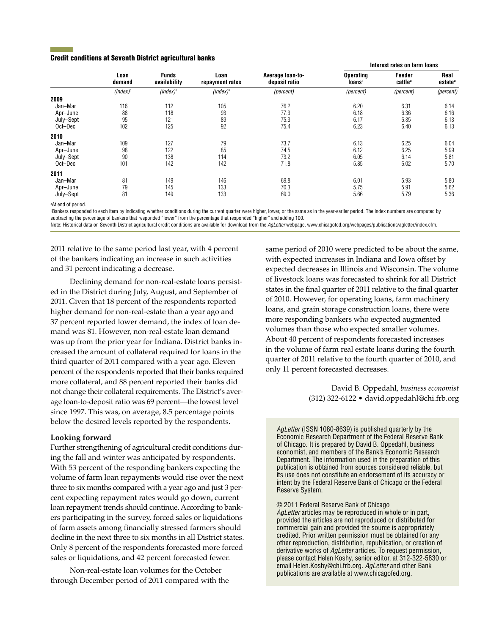### Credit conditions at Seventh District agricultural banks

|           | Loan<br>demand | <b>Funds</b><br>availability | Loan<br>repayment rates | Average loan-to-<br>deposit ratio | Interest rates on farm loans           |                               |                             |
|-----------|----------------|------------------------------|-------------------------|-----------------------------------|----------------------------------------|-------------------------------|-----------------------------|
|           |                |                              |                         |                                   | <b>Operating</b><br>loans <sup>a</sup> | Feeder<br>cattle <sup>a</sup> | Real<br>estate <sup>a</sup> |
|           | $(index)^b$    | $(index)^b$                  | $(index)^b$             | (percent)                         | (percent)                              | (percent)                     | (percent)                   |
| 2009      |                |                              |                         |                                   |                                        |                               |                             |
| Jan-Mar   | 116            | 112                          | 105                     | 76.2                              | 6.20                                   | 6.31                          | 6.14                        |
| Apr-June  | 88             | 118                          | 93                      | 77.3                              | 6.18                                   | 6.36                          | 6.16                        |
| July-Sept | 95             | 121                          | 89                      | 75.3                              | 6.17                                   | 6.35                          | 6.13                        |
| Oct-Dec   | 102            | 125                          | 92                      | 75.4                              | 6.23                                   | 6.40                          | 6.13                        |
| 2010      |                |                              |                         |                                   |                                        |                               |                             |
| Jan-Mar   | 109            | 127                          | 79                      | 73.7                              | 6.13                                   | 6.25                          | 6.04                        |
| Apr-June  | 98             | 122                          | 85                      | 74.5                              | 6.12                                   | 6.25                          | 5.99                        |
| July-Sept | 90             | 138                          | 114                     | 73.2                              | 6.05                                   | 6.14                          | 5.81                        |
| Oct-Dec   | 101            | 142                          | 142                     | 71.8                              | 5.85                                   | 6.02                          | 5.70                        |
| 2011      |                |                              |                         |                                   |                                        |                               |                             |
| Jan-Mar   | 81             | 149                          | 146                     | 69.8                              | 6.01                                   | 5.93                          | 5.80                        |
| Apr-June  | 79             | 145                          | 133                     | 70.3                              | 5.75                                   | 5.91                          | 5.62                        |
| July-Sept | 81             | 149                          | 133                     | 69.0                              | 5.66                                   | 5.79                          | 5.36                        |

a At end of period.

**Bankers responded to each item by indicating whether conditions during the current quarter were higher, lower, or the same as in the year-earlier period. The index numbers are computed by** subtracting the percentage of bankers that responded "lower" from the percentage that responded "higher" and adding 100.

Note: Historical data on Seventh District agricultural credit conditions are available for download from the *AgLetter* webpage, www.chicagofed.org/webpages/publications/agletter/index.cfm.

2011 relative to the same period last year, with 4 percent of the bankers indicating an increase in such activities and 31 percent indicating a decrease.

Declining demand for non-real-estate loans persisted in the District during July, August, and September of 2011. Given that 18 percent of the respondents reported higher demand for non-real-estate than a year ago and 37 percent reported lower demand, the index of loan demand was 81. However, non-real-estate loan demand was up from the prior year for Indiana. District banks increased the amount of collateral required for loans in the third quarter of 2011 compared with a year ago. Eleven percent of the respondents reported that their banks required more collateral, and 88 percent reported their banks did not change their collateral requirements. The District's average loan-to-deposit ratio was 69 percent—the lowest level since 1997. This was, on average, 8.5 percentage points below the desired levels reported by the respondents.

## **Looking forward**

Further strengthening of agricultural credit conditions during the fall and winter was anticipated by respondents. With 53 percent of the responding bankers expecting the volume of farm loan repayments would rise over the next three to six months compared with a year ago and just 3 percent expecting repayment rates would go down, current loan repayment trends should continue. According to bankers participating in the survey, forced sales or liquidations of farm assets among financially stressed farmers should decline in the next three to six months in all District states. Only 8 percent of the respondents forecasted more forced sales or liquidations, and 42 percent forecasted fewer.

Non-real-estate loan volumes for the October through December period of 2011 compared with the same period of 2010 were predicted to be about the same, with expected increases in Indiana and Iowa offset by expected decreases in Illinois and Wisconsin. The volume of livestock loans was forecasted to shrink for all District states in the final quarter of 2011 relative to the final quarter of 2010. However, for operating loans, farm machinery loans, and grain storage construction loans, there were more responding bankers who expected augmented volumes than those who expected smaller volumes. About 40 percent of respondents forecasted increases in the volume of farm real estate loans during the fourth quarter of 2011 relative to the fourth quarter of 2010, and only 11 percent forecasted decreases.

> David B. Oppedahl, *business economist*  (312) 322-6122 • david.oppedahl@chi.frb.org

*AgLetter* (ISSN 1080-8639) is published quarterly by the Economic Research Department of the Federal Reserve Bank of Chicago. It is prepared by David B. Oppedahl, business economist, and members of the Bank's Economic Research Department. The information used in the preparation of this publication is obtained from sources considered reliable, but its use does not constitute an endorsement of its accuracy or intent by the Federal Reserve Bank of Chicago or the Federal Reserve System.

© 2011 Federal Reserve Bank of Chicago

*AgLetter* articles may be reproduced in whole or in part, provided the articles are not reproduced or distributed for commercial gain and provided the source is appropriately credited. Prior written permission must be obtained for any other reproduction, distribution, republication, or creation of derivative works of *AgLetter* articles. To request permission, please contact Helen Koshy, senior editor, at 312-322-5830 or email Helen.Koshy@chi.frb.org. *AgLetter* and other Bank publications are available at www.chicagofed.org.